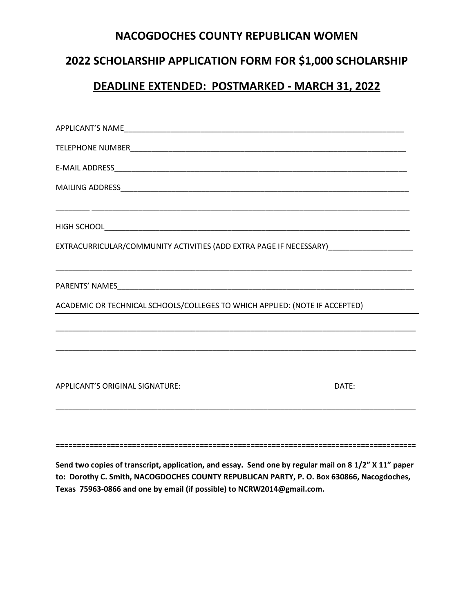#### **NACOGDOCHES COUNTY REPUBLICAN WOMEN**

# **2022 SCHOLARSHIP APPLICATION FORM FOR \$1,000 SCHOLARSHIP**

#### **DEADLINE EXTENDED: POSTMARKED - MARCH 31, 2022**

| EXTRACURRICULAR/COMMUNITY ACTIVITIES (ADD EXTRA PAGE IF NECESSARY)_______________ |       |
|-----------------------------------------------------------------------------------|-------|
|                                                                                   |       |
| ACADEMIC OR TECHNICAL SCHOOLS/COLLEGES TO WHICH APPLIED: (NOTE IF ACCEPTED)       |       |
|                                                                                   |       |
|                                                                                   |       |
|                                                                                   |       |
| APPLICANT'S ORIGINAL SIGNATURE:                                                   | DATE: |
|                                                                                   |       |

**Send two copies of transcript, application, and essay. Send one by regular mail on 8 1/2" X 11" paper to: Dorothy C. Smith, NACOGDOCHES COUNTY REPUBLICAN PARTY, P. O. Box 630866, Nacogdoches, Texas 75963-0866 and one by email (if possible) to NCRW2014@gmail.com.**

**=====================================================================================**